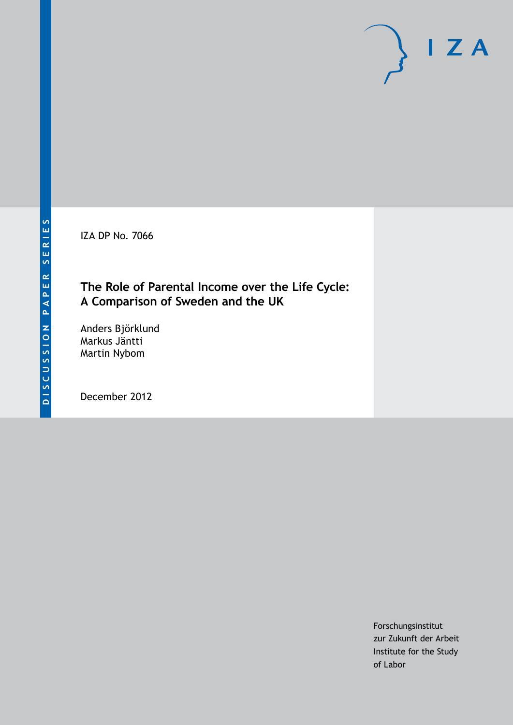IZA DP No. 7066

# **The Role of Parental Income over the Life Cycle: A Comparison of Sweden and the UK**

Anders Björklund Markus Jäntti Martin Nybom

December 2012

Forschungsinstitut zur Zukunft der Arbeit Institute for the Study of Labor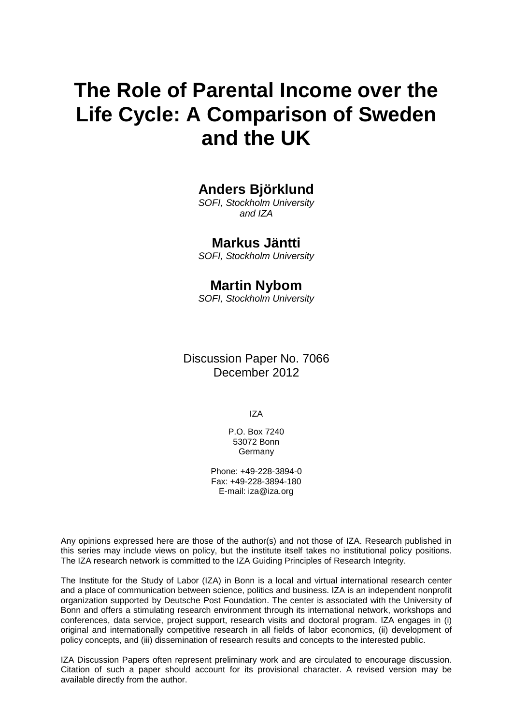# **The Role of Parental Income over the Life Cycle: A Comparison of Sweden and the UK**

# **Anders Björklund**

*SOFI, Stockholm University and IZA*

## **Markus Jäntti**

*SOFI, Stockholm University*

#### **Martin Nybom**

*SOFI, Stockholm University*

Discussion Paper No. 7066 December 2012

IZA

P.O. Box 7240 53072 Bonn Germany

Phone: +49-228-3894-0 Fax: +49-228-3894-180 E-mail: [iza@iza.org](mailto:iza@iza.org)

Any opinions expressed here are those of the author(s) and not those of IZA. Research published in this series may include views on policy, but the institute itself takes no institutional policy positions. The IZA research network is committed to the IZA Guiding Principles of Research Integrity.

The Institute for the Study of Labor (IZA) in Bonn is a local and virtual international research center and a place of communication between science, politics and business. IZA is an independent nonprofit organization supported by Deutsche Post Foundation. The center is associated with the University of Bonn and offers a stimulating research environment through its international network, workshops and conferences, data service, project support, research visits and doctoral program. IZA engages in (i) original and internationally competitive research in all fields of labor economics, (ii) development of policy concepts, and (iii) dissemination of research results and concepts to the interested public.

<span id="page-1-0"></span>IZA Discussion Papers often represent preliminary work and are circulated to encourage discussion. Citation of such a paper should account for its provisional character. A revised version may be available directly from the author.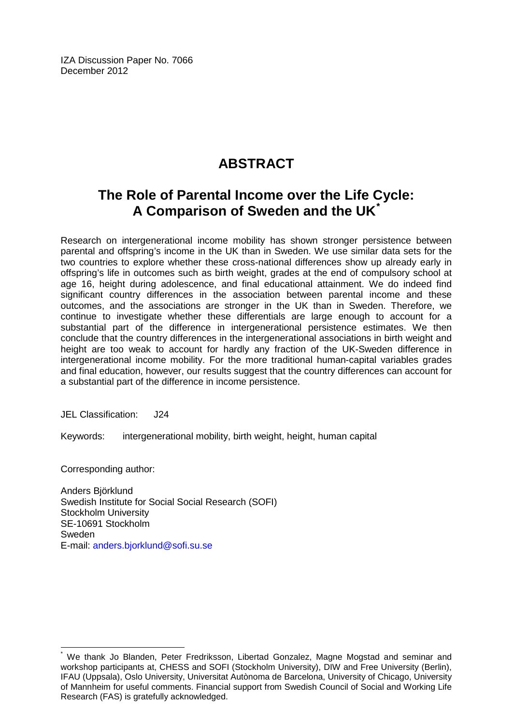IZA Discussion Paper No. 7066 December 2012

# **ABSTRACT**

# **The Role of Parental Income over the Life Cycle: A Comparison of Sweden and the UK[\\*](#page-1-0)**

Research on intergenerational income mobility has shown stronger persistence between parental and offspring's income in the UK than in Sweden. We use similar data sets for the two countries to explore whether these cross-national differences show up already early in offspring's life in outcomes such as birth weight, grades at the end of compulsory school at age 16, height during adolescence, and final educational attainment. We do indeed find significant country differences in the association between parental income and these outcomes, and the associations are stronger in the UK than in Sweden. Therefore, we continue to investigate whether these differentials are large enough to account for a substantial part of the difference in intergenerational persistence estimates. We then conclude that the country differences in the intergenerational associations in birth weight and height are too weak to account for hardly any fraction of the UK-Sweden difference in intergenerational income mobility. For the more traditional human-capital variables grades and final education, however, our results suggest that the country differences can account for a substantial part of the difference in income persistence.

JEL Classification: J24

Keywords: intergenerational mobility, birth weight, height, human capital

Corresponding author:

Anders Björklund Swedish Institute for Social Social Research (SOFI) Stockholm University SE-10691 Stockholm Sweden E-mail: [anders.bjorklund@sofi.su.se](mailto:anders.bjorklund@sofi.su.se)

We thank Jo Blanden, Peter Fredriksson, Libertad Gonzalez, Magne Mogstad and seminar and workshop participants at, CHESS and SOFI (Stockholm University), DIW and Free University (Berlin), IFAU (Uppsala), Oslo University, Universitat Autònoma de Barcelona, University of Chicago, University of Mannheim for useful comments. Financial support from Swedish Council of Social and Working Life Research (FAS) is gratefully acknowledged.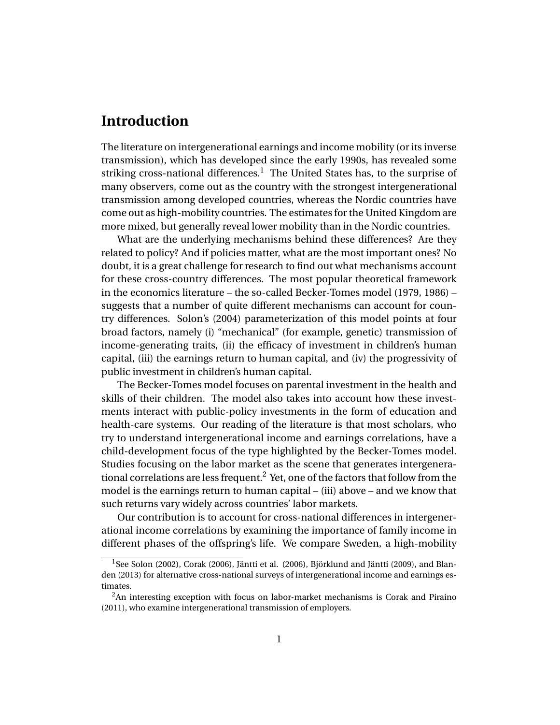# **Introduction**

The literature on intergenerational earnings and income mobility (or its inverse transmission), which has developed since the early 1990s, has revealed some striking cross-national differences.<sup>1</sup> The United States has, to the surprise of many observers, come out as the country with the strongest intergenerational transmission among developed countries, whereas the Nordic countries have come out as high-mobility countries. The estimates for the United Kingdom are more mixed, but generally reveal lower mobility than in the Nordic countries.

What are the underlying mechanisms behind these differences? Are they related to policy? And if policies matter, what are the most important ones? No doubt, it is a great challenge for research to find out what mechanisms account for these cross-country differences. The most popular theoretical framework in the economics literature – the so-called Becker-Tomes model (1979, 1986) – suggests that a number of quite different mechanisms can account for country differences. Solon's (2004) parameterization of this model points at four broad factors, namely (i) "mechanical" (for example, genetic) transmission of income-generating traits, (ii) the efficacy of investment in children's human capital, (iii) the earnings return to human capital, and (iv) the progressivity of public investment in children's human capital.

The Becker-Tomes model focuses on parental investment in the health and skills of their children. The model also takes into account how these investments interact with public-policy investments in the form of education and health-care systems. Our reading of the literature is that most scholars, who try to understand intergenerational income and earnings correlations, have a child-development focus of the type highlighted by the Becker-Tomes model. Studies focusing on the labor market as the scene that generates intergenerational correlations are less frequent.<sup>2</sup> Yet, one of the factors that follow from the model is the earnings return to human capital – (iii) above – and we know that such returns vary widely across countries' labor markets.

Our contribution is to account for cross-national differences in intergenerational income correlations by examining the importance of family income in different phases of the offspring's life. We compare Sweden, a high-mobility

<sup>&</sup>lt;sup>1</sup>See Solon (2002), Corak (2006), Jäntti et al. (2006), Björklund and Jäntti (2009), and Blanden (2013) for alternative cross-national surveys of intergenerational income and earnings estimates.

<sup>&</sup>lt;sup>2</sup>An interesting exception with focus on labor-market mechanisms is Corak and Piraino (2011), who examine intergenerational transmission of employers.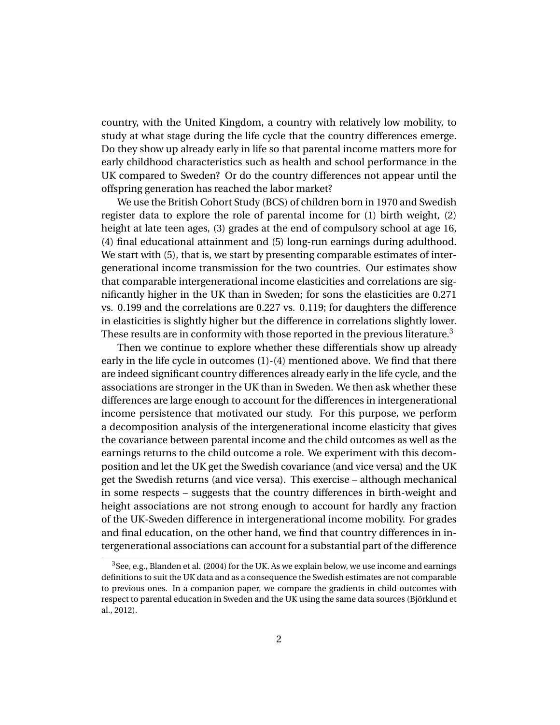country, with the United Kingdom, a country with relatively low mobility, to study at what stage during the life cycle that the country differences emerge. Do they show up already early in life so that parental income matters more for early childhood characteristics such as health and school performance in the UK compared to Sweden? Or do the country differences not appear until the offspring generation has reached the labor market?

We use the British Cohort Study (BCS) of children born in 1970 and Swedish register data to explore the role of parental income for (1) birth weight, (2) height at late teen ages, (3) grades at the end of compulsory school at age 16, (4) final educational attainment and (5) long-run earnings during adulthood. We start with (5), that is, we start by presenting comparable estimates of intergenerational income transmission for the two countries. Our estimates show that comparable intergenerational income elasticities and correlations are significantly higher in the UK than in Sweden; for sons the elasticities are 0.271 vs. 0.199 and the correlations are 0.227 vs. 0.119; for daughters the difference in elasticities is slightly higher but the difference in correlations slightly lower. These results are in conformity with those reported in the previous literature.<sup>3</sup>

Then we continue to explore whether these differentials show up already early in the life cycle in outcomes (1)-(4) mentioned above. We find that there are indeed significant country differences already early in the life cycle, and the associations are stronger in the UK than in Sweden. We then ask whether these differences are large enough to account for the differences in intergenerational income persistence that motivated our study. For this purpose, we perform a decomposition analysis of the intergenerational income elasticity that gives the covariance between parental income and the child outcomes as well as the earnings returns to the child outcome a role. We experiment with this decomposition and let the UK get the Swedish covariance (and vice versa) and the UK get the Swedish returns (and vice versa). This exercise – although mechanical in some respects – suggests that the country differences in birth-weight and height associations are not strong enough to account for hardly any fraction of the UK-Sweden difference in intergenerational income mobility. For grades and final education, on the other hand, we find that country differences in intergenerational associations can account for a substantial part of the difference

 $3$ See, e.g., Blanden et al. (2004) for the UK. As we explain below, we use income and earnings definitions to suit the UK data and as a consequence the Swedish estimates are not comparable to previous ones. In a companion paper, we compare the gradients in child outcomes with respect to parental education in Sweden and the UK using the same data sources (Björklund et al., 2012).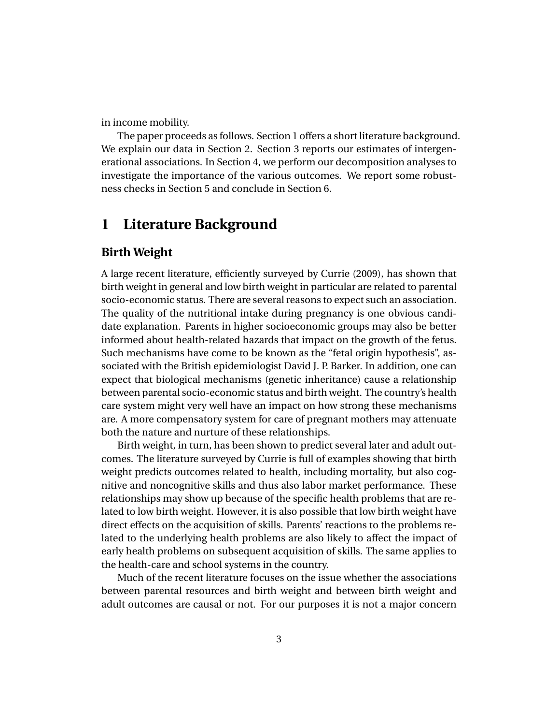in income mobility.

The paper proceeds as follows. Section 1 offers a short literature background. We explain our data in Section 2. Section 3 reports our estimates of intergenerational associations. In Section 4, we perform our decomposition analyses to investigate the importance of the various outcomes. We report some robustness checks in Section 5 and conclude in Section 6.

# **1 Literature Background**

#### **Birth Weight**

A large recent literature, efficiently surveyed by Currie (2009), has shown that birth weight in general and low birth weight in particular are related to parental socio-economic status. There are several reasons to expect such an association. The quality of the nutritional intake during pregnancy is one obvious candidate explanation. Parents in higher socioeconomic groups may also be better informed about health-related hazards that impact on the growth of the fetus. Such mechanisms have come to be known as the "fetal origin hypothesis", associated with the British epidemiologist David J. P. Barker. In addition, one can expect that biological mechanisms (genetic inheritance) cause a relationship between parental socio-economic status and birth weight. The country's health care system might very well have an impact on how strong these mechanisms are. A more compensatory system for care of pregnant mothers may attenuate both the nature and nurture of these relationships.

Birth weight, in turn, has been shown to predict several later and adult outcomes. The literature surveyed by Currie is full of examples showing that birth weight predicts outcomes related to health, including mortality, but also cognitive and noncognitive skills and thus also labor market performance. These relationships may show up because of the specific health problems that are related to low birth weight. However, it is also possible that low birth weight have direct effects on the acquisition of skills. Parents' reactions to the problems related to the underlying health problems are also likely to affect the impact of early health problems on subsequent acquisition of skills. The same applies to the health-care and school systems in the country.

Much of the recent literature focuses on the issue whether the associations between parental resources and birth weight and between birth weight and adult outcomes are causal or not. For our purposes it is not a major concern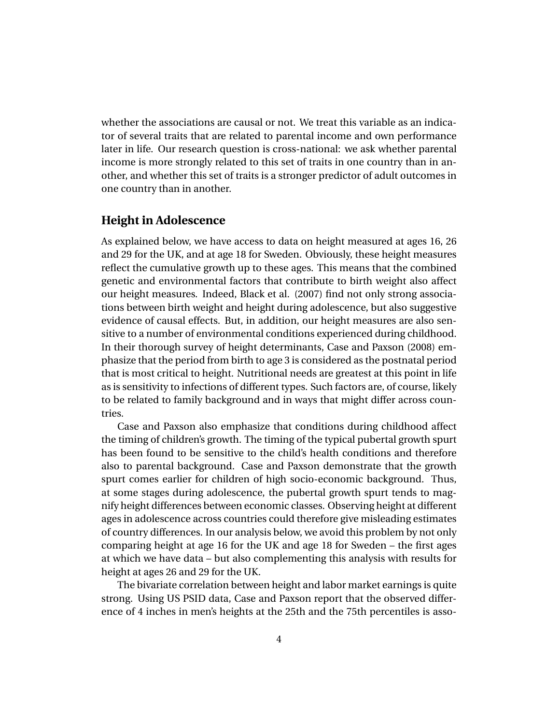whether the associations are causal or not. We treat this variable as an indicator of several traits that are related to parental income and own performance later in life. Our research question is cross-national: we ask whether parental income is more strongly related to this set of traits in one country than in another, and whether this set of traits is a stronger predictor of adult outcomes in one country than in another.

#### **Height in Adolescence**

As explained below, we have access to data on height measured at ages 16, 26 and 29 for the UK, and at age 18 for Sweden. Obviously, these height measures reflect the cumulative growth up to these ages. This means that the combined genetic and environmental factors that contribute to birth weight also affect our height measures. Indeed, Black et al. (2007) find not only strong associations between birth weight and height during adolescence, but also suggestive evidence of causal effects. But, in addition, our height measures are also sensitive to a number of environmental conditions experienced during childhood. In their thorough survey of height determinants, Case and Paxson (2008) emphasize that the period from birth to age 3 is considered as the postnatal period that is most critical to height. Nutritional needs are greatest at this point in life as is sensitivity to infections of different types. Such factors are, of course, likely to be related to family background and in ways that might differ across countries.

Case and Paxson also emphasize that conditions during childhood affect the timing of children's growth. The timing of the typical pubertal growth spurt has been found to be sensitive to the child's health conditions and therefore also to parental background. Case and Paxson demonstrate that the growth spurt comes earlier for children of high socio-economic background. Thus, at some stages during adolescence, the pubertal growth spurt tends to magnify height differences between economic classes. Observing height at different ages in adolescence across countries could therefore give misleading estimates of country differences. In our analysis below, we avoid this problem by not only comparing height at age 16 for the UK and age 18 for Sweden – the first ages at which we have data – but also complementing this analysis with results for height at ages 26 and 29 for the UK.

The bivariate correlation between height and labor market earnings is quite strong. Using US PSID data, Case and Paxson report that the observed difference of 4 inches in men's heights at the 25th and the 75th percentiles is asso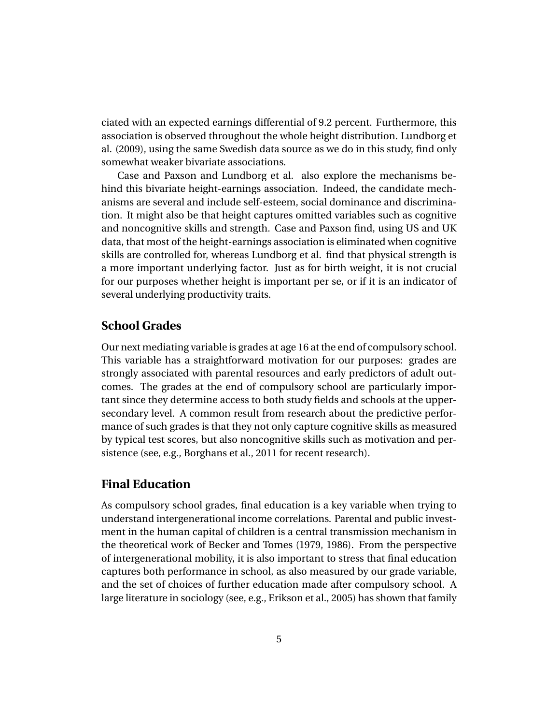ciated with an expected earnings differential of 9.2 percent. Furthermore, this association is observed throughout the whole height distribution. Lundborg et al. (2009), using the same Swedish data source as we do in this study, find only somewhat weaker bivariate associations.

Case and Paxson and Lundborg et al. also explore the mechanisms behind this bivariate height-earnings association. Indeed, the candidate mechanisms are several and include self-esteem, social dominance and discrimination. It might also be that height captures omitted variables such as cognitive and noncognitive skills and strength. Case and Paxson find, using US and UK data, that most of the height-earnings association is eliminated when cognitive skills are controlled for, whereas Lundborg et al. find that physical strength is a more important underlying factor. Just as for birth weight, it is not crucial for our purposes whether height is important per se, or if it is an indicator of several underlying productivity traits.

#### **School Grades**

Our next mediating variable is grades at age 16 at the end of compulsory school. This variable has a straightforward motivation for our purposes: grades are strongly associated with parental resources and early predictors of adult outcomes. The grades at the end of compulsory school are particularly important since they determine access to both study fields and schools at the uppersecondary level. A common result from research about the predictive performance of such grades is that they not only capture cognitive skills as measured by typical test scores, but also noncognitive skills such as motivation and persistence (see, e.g., Borghans et al., 2011 for recent research).

#### **Final Education**

As compulsory school grades, final education is a key variable when trying to understand intergenerational income correlations. Parental and public investment in the human capital of children is a central transmission mechanism in the theoretical work of Becker and Tomes (1979, 1986). From the perspective of intergenerational mobility, it is also important to stress that final education captures both performance in school, as also measured by our grade variable, and the set of choices of further education made after compulsory school. A large literature in sociology (see, e.g., Erikson et al., 2005) has shown that family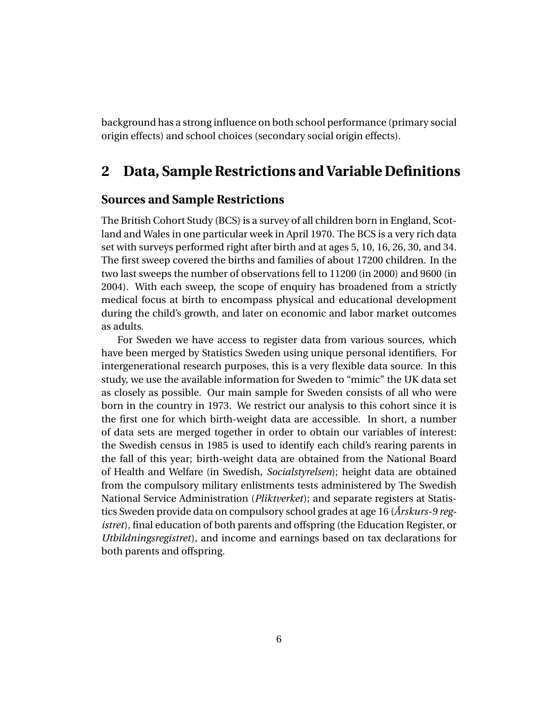background has a strong influence on both school performance (primary social origin effects) and school choices (secondary social origin effects).

## **2 Data, Sample Restrictions and Variable Definitions**

#### **Sources and Sample Restrictions**

The British Cohort Study (BCS) is a survey of all children born in England, Scotland and Wales in one particular week in April 1970. The BCS is a very rich data set with surveys performed right after birth and at ages 5, 10, 16, 26, 30, and 34. The first sweep covered the births and families of about 17200 children. In the two last sweeps the number of observations fell to 11200 (in 2000) and 9600 (in 2004). With each sweep, the scope of enquiry has broadened from a strictly medical focus at birth to encompass physical and educational development during the child's growth, and later on economic and labor market outcomes as adults.

For Sweden we have access to register data from various sources, which have been merged by Statistics Sweden using unique personal identifiers. For intergenerational research purposes, this is a very flexible data source. In this study, we use the available information for Sweden to "mimic" the UK data set as closely as possible. Our main sample for Sweden consists of all who were born in the country in 1973. We restrict our analysis to this cohort since it is the first one for which birth-weight data are accessible. In short, a number of data sets are merged together in order to obtain our variables of interest: the Swedish census in 1985 is used to identify each child's rearing parents in the fall of this year; birth-weight data are obtained from the National Board of Health and Welfare (in Swedish, *Socialstyrelsen*); height data are obtained from the compulsory military enlistments tests administered by The Swedish National Service Administration (*Pliktverket*); and separate registers at Statistics Sweden provide data on compulsory school grades at age 16 (*Årskurs-9 registret*), final education of both parents and offspring (the Education Register, or *Utbildningsregistret*), and income and earnings based on tax declarations for both parents and offspring.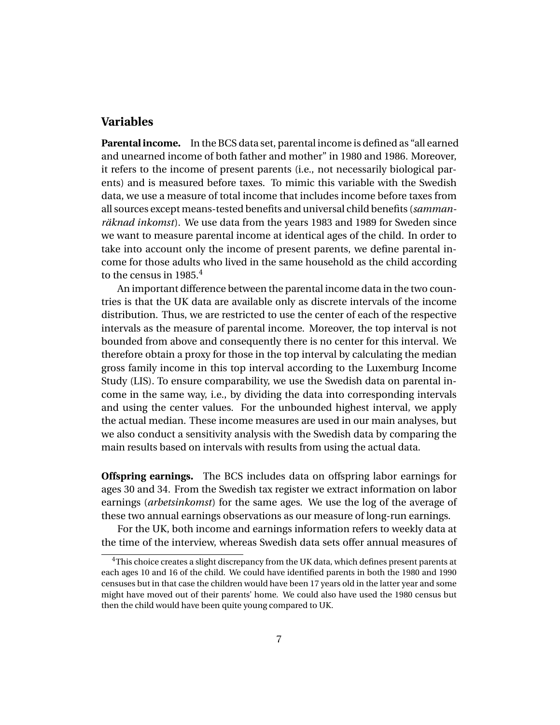#### **Variables**

**Parental income.** In the BCS data set, parental income is defined as "all earned and unearned income of both father and mother" in 1980 and 1986. Moreover, it refers to the income of present parents (i.e., not necessarily biological parents) and is measured before taxes. To mimic this variable with the Swedish data, we use a measure of total income that includes income before taxes from all sources except means-tested benefits and universal child benefits (*sammanräknad inkomst*). We use data from the years 1983 and 1989 for Sweden since we want to measure parental income at identical ages of the child. In order to take into account only the income of present parents, we define parental income for those adults who lived in the same household as the child according to the census in 1985.<sup>4</sup>

An important difference between the parental income data in the two countries is that the UK data are available only as discrete intervals of the income distribution. Thus, we are restricted to use the center of each of the respective intervals as the measure of parental income. Moreover, the top interval is not bounded from above and consequently there is no center for this interval. We therefore obtain a proxy for those in the top interval by calculating the median gross family income in this top interval according to the Luxemburg Income Study (LIS). To ensure comparability, we use the Swedish data on parental income in the same way, i.e., by dividing the data into corresponding intervals and using the center values. For the unbounded highest interval, we apply the actual median. These income measures are used in our main analyses, but we also conduct a sensitivity analysis with the Swedish data by comparing the main results based on intervals with results from using the actual data.

**Offspring earnings.** The BCS includes data on offspring labor earnings for ages 30 and 34. From the Swedish tax register we extract information on labor earnings (*arbetsinkomst*) for the same ages. We use the log of the average of these two annual earnings observations as our measure of long-run earnings.

For the UK, both income and earnings information refers to weekly data at the time of the interview, whereas Swedish data sets offer annual measures of

<sup>&</sup>lt;sup>4</sup>This choice creates a slight discrepancy from the UK data, which defines present parents at each ages 10 and 16 of the child. We could have identified parents in both the 1980 and 1990 censuses but in that case the children would have been 17 years old in the latter year and some might have moved out of their parents' home. We could also have used the 1980 census but then the child would have been quite young compared to UK.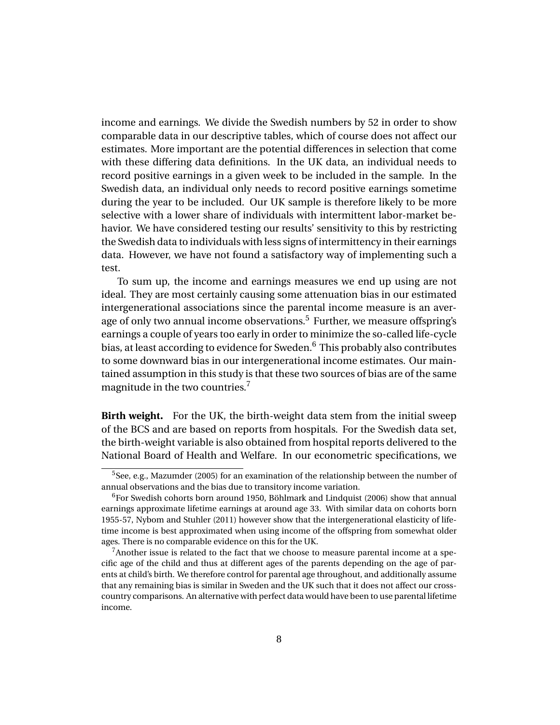income and earnings. We divide the Swedish numbers by 52 in order to show comparable data in our descriptive tables, which of course does not affect our estimates. More important are the potential differences in selection that come with these differing data definitions. In the UK data, an individual needs to record positive earnings in a given week to be included in the sample. In the Swedish data, an individual only needs to record positive earnings sometime during the year to be included. Our UK sample is therefore likely to be more selective with a lower share of individuals with intermittent labor-market behavior. We have considered testing our results' sensitivity to this by restricting the Swedish data to individuals with less signs of intermittency in their earnings data. However, we have not found a satisfactory way of implementing such a test.

To sum up, the income and earnings measures we end up using are not ideal. They are most certainly causing some attenuation bias in our estimated intergenerational associations since the parental income measure is an average of only two annual income observations.<sup>5</sup> Further, we measure offspring's earnings a couple of years too early in order to minimize the so-called life-cycle bias, at least according to evidence for Sweden.<sup>6</sup> This probably also contributes to some downward bias in our intergenerational income estimates. Our maintained assumption in this study is that these two sources of bias are of the same magnitude in the two countries.<sup>7</sup>

**Birth weight.** For the UK, the birth-weight data stem from the initial sweep of the BCS and are based on reports from hospitals. For the Swedish data set, the birth-weight variable is also obtained from hospital reports delivered to the National Board of Health and Welfare. In our econometric specifications, we

 $5$ See, e.g., Mazumder (2005) for an examination of the relationship between the number of annual observations and the bias due to transitory income variation.

 $6$ For Swedish cohorts born around 1950, Böhlmark and Lindquist (2006) show that annual earnings approximate lifetime earnings at around age 33. With similar data on cohorts born 1955-57, Nybom and Stuhler (2011) however show that the intergenerational elasticity of lifetime income is best approximated when using income of the offspring from somewhat older ages. There is no comparable evidence on this for the UK.

 $7$ Another issue is related to the fact that we choose to measure parental income at a specific age of the child and thus at different ages of the parents depending on the age of parents at child's birth. We therefore control for parental age throughout, and additionally assume that any remaining bias is similar in Sweden and the UK such that it does not affect our crosscountry comparisons. An alternative with perfect data would have been to use parental lifetime income.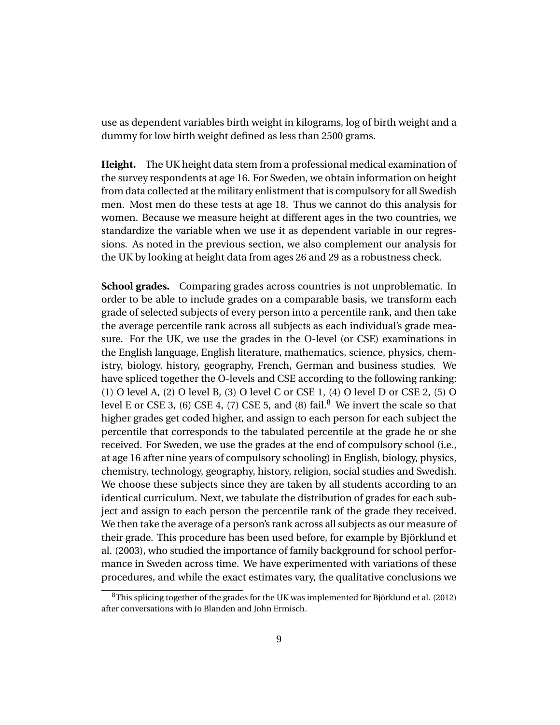use as dependent variables birth weight in kilograms, log of birth weight and a dummy for low birth weight defined as less than 2500 grams.

**Height.** The UK height data stem from a professional medical examination of the survey respondents at age 16. For Sweden, we obtain information on height from data collected at the military enlistment that is compulsory for all Swedish men. Most men do these tests at age 18. Thus we cannot do this analysis for women. Because we measure height at different ages in the two countries, we standardize the variable when we use it as dependent variable in our regressions. As noted in the previous section, we also complement our analysis for the UK by looking at height data from ages 26 and 29 as a robustness check.

**School grades.** Comparing grades across countries is not unproblematic. In order to be able to include grades on a comparable basis, we transform each grade of selected subjects of every person into a percentile rank, and then take the average percentile rank across all subjects as each individual's grade measure. For the UK, we use the grades in the O-level (or CSE) examinations in the English language, English literature, mathematics, science, physics, chemistry, biology, history, geography, French, German and business studies. We have spliced together the O-levels and CSE according to the following ranking: (1) O level A, (2) O level B, (3) O level C or CSE 1, (4) O level D or CSE 2, (5) O level E or CSE 3, (6) CSE 4, (7) CSE 5, and (8) fail.<sup>8</sup> We invert the scale so that higher grades get coded higher, and assign to each person for each subject the percentile that corresponds to the tabulated percentile at the grade he or she received. For Sweden, we use the grades at the end of compulsory school (i.e., at age 16 after nine years of compulsory schooling) in English, biology, physics, chemistry, technology, geography, history, religion, social studies and Swedish. We choose these subjects since they are taken by all students according to an identical curriculum. Next, we tabulate the distribution of grades for each subject and assign to each person the percentile rank of the grade they received. We then take the average of a person's rank across all subjects as our measure of their grade. This procedure has been used before, for example by Björklund et al. (2003), who studied the importance of family background for school performance in Sweden across time. We have experimented with variations of these procedures, and while the exact estimates vary, the qualitative conclusions we

<sup>8</sup>This splicing together of the grades for the UK was implemented for Björklund et al. (2012) after conversations with Jo Blanden and John Ermisch.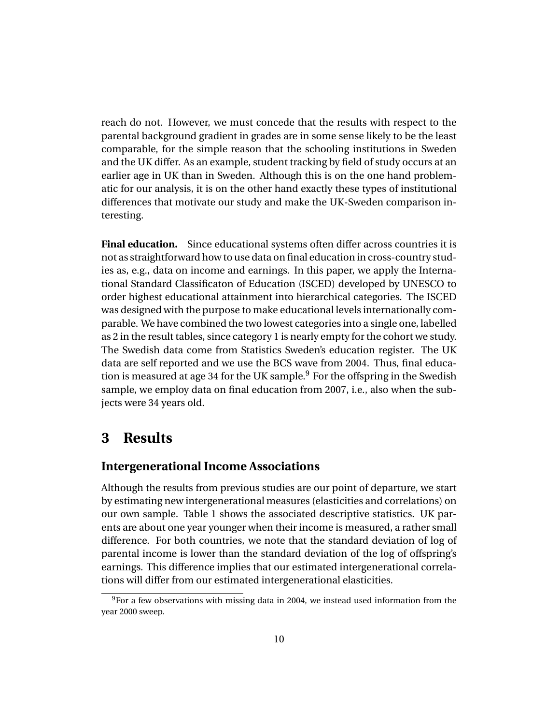reach do not. However, we must concede that the results with respect to the parental background gradient in grades are in some sense likely to be the least comparable, for the simple reason that the schooling institutions in Sweden and the UK differ. As an example, student tracking by field of study occurs at an earlier age in UK than in Sweden. Although this is on the one hand problematic for our analysis, it is on the other hand exactly these types of institutional differences that motivate our study and make the UK-Sweden comparison interesting.

**Final education.** Since educational systems often differ across countries it is not as straightforward how to use data on final education in cross-country studies as, e.g., data on income and earnings. In this paper, we apply the International Standard Classificaton of Education (ISCED) developed by UNESCO to order highest educational attainment into hierarchical categories. The ISCED was designed with the purpose to make educational levels internationally comparable. We have combined the two lowest categories into a single one, labelled as 2 in the result tables, since category 1 is nearly empty for the cohort we study. The Swedish data come from Statistics Sweden's education register. The UK data are self reported and we use the BCS wave from 2004. Thus, final education is measured at age 34 for the UK sample. $9$  For the offspring in the Swedish sample, we employ data on final education from 2007, i.e., also when the subjects were 34 years old.

# **3 Results**

#### **Intergenerational Income Associations**

Although the results from previous studies are our point of departure, we start by estimating new intergenerational measures (elasticities and correlations) on our own sample. Table 1 shows the associated descriptive statistics. UK parents are about one year younger when their income is measured, a rather small difference. For both countries, we note that the standard deviation of log of parental income is lower than the standard deviation of the log of offspring's earnings. This difference implies that our estimated intergenerational correlations will differ from our estimated intergenerational elasticities.

 $9$ For a few observations with missing data in 2004, we instead used information from the year 2000 sweep.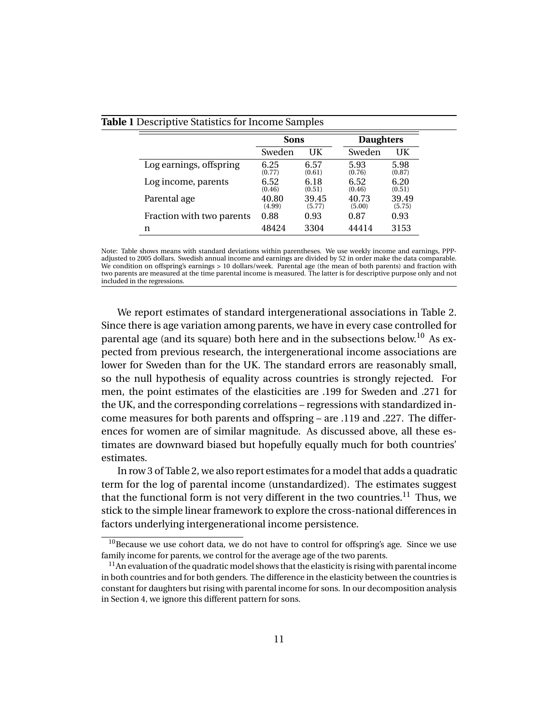|                           | <b>Sons</b>     |                 | <b>Daughters</b> |                 |
|---------------------------|-----------------|-----------------|------------------|-----------------|
|                           | Sweden          | UK              | Sweden           | UK              |
| Log earnings, offspring   | 6.25<br>(0.77)  | 6.57<br>(0.61)  | 5.93<br>(0.76)   | 5.98<br>(0.87)  |
| Log income, parents       | 6.52<br>(0.46)  | 6.18<br>(0.51)  | 6.52<br>(0.46)   | 6.20<br>(0.51)  |
| Parental age              | 40.80<br>(4.99) | 39.45<br>(5.77) | 40.73<br>(5.00)  | 39.49<br>(5.75) |
| Fraction with two parents | 0.88            | 0.93            | 0.87             | 0.93            |
| n                         | 48424           | 3304            | 44414            | 3153            |

#### **Table 1** Descriptive Statistics for Income Samples

Note: Table shows means with standard deviations within parentheses. We use weekly income and earnings, PPPadjusted to 2005 dollars. Swedish annual income and earnings are divided by 52 in order make the data comparable. We condition on offspring's earnings > 10 dollars/week. Parental age (the mean of both parents) and fraction with two parents are measured at the time parental income is measured. The latter is for descriptive purpose only and not included in the regressions.

We report estimates of standard intergenerational associations in Table 2. Since there is age variation among parents, we have in every case controlled for parental age (and its square) both here and in the subsections below.<sup>10</sup> As expected from previous research, the intergenerational income associations are lower for Sweden than for the UK. The standard errors are reasonably small, so the null hypothesis of equality across countries is strongly rejected. For men, the point estimates of the elasticities are .199 for Sweden and .271 for the UK, and the corresponding correlations – regressions with standardized income measures for both parents and offspring – are .119 and .227. The differences for women are of similar magnitude. As discussed above, all these estimates are downward biased but hopefully equally much for both countries' estimates.

In row 3 of Table 2, we also report estimates for a model that adds a quadratic term for the log of parental income (unstandardized). The estimates suggest that the functional form is not very different in the two countries.<sup>11</sup> Thus, we stick to the simple linear framework to explore the cross-national differences in factors underlying intergenerational income persistence.

 $10B$  Because we use cohort data, we do not have to control for offspring's age. Since we use family income for parents, we control for the average age of the two parents.

 $11$ An evaluation of the quadratic model shows that the elasticity is rising with parental income in both countries and for both genders. The difference in the elasticity between the countries is constant for daughters but rising with parental income for sons. In our decomposition analysis in Section 4, we ignore this different pattern for sons.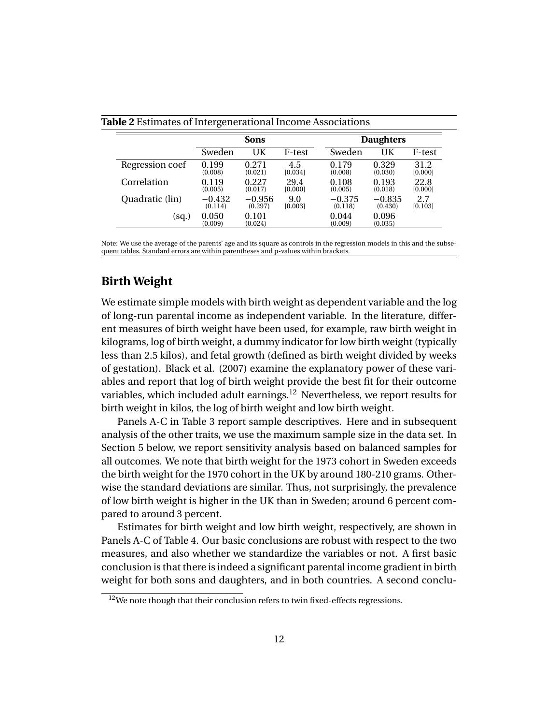|                 |                  | <b>Sons</b>      |         |                  | <b>Daughters</b> |         |
|-----------------|------------------|------------------|---------|------------------|------------------|---------|
|                 | Sweden           | UK               | F-test  | Sweden           | UK               | F-test  |
| Regression coef | 0.199            | 0.271            | 4.5     | 0.179            | 0.329            | 31.2    |
|                 | (0.008)          | (0.021)          | [0.034] | (0.008)          | (0.030)          | [0.000] |
| Correlation     | 0.119            | 0.227            | 29.4    | 0.108            | 0.193            | 22.8    |
|                 | (0.005)          | (0.017)          | [0.000] | (0.005)          | (0.018)          | [0.000] |
| Quadratic (lin) | $-0.432$         | $-0.956$         | 9.0     | $-0.375$         | $-0.835$         | 2.7     |
|                 | (0.114)          | (0.297)          | [0.003] | (0.118)          | (0.430)          | [0.103] |
| (sq.)           | 0.050<br>(0.009) | 0.101<br>(0.024) |         | 0.044<br>(0.009) | 0.096<br>(0.035) |         |

#### **Table 2** Estimates of Intergenerational Income Associations

Note: We use the average of the parents' age and its square as controls in the regression models in this and the subsequent tables. Standard errors are within parentheses and p-values within brackets.

#### **Birth Weight**

We estimate simple models with birth weight as dependent variable and the log of long-run parental income as independent variable. In the literature, different measures of birth weight have been used, for example, raw birth weight in kilograms, log of birth weight, a dummy indicator for low birth weight (typically less than 2.5 kilos), and fetal growth (defined as birth weight divided by weeks of gestation). Black et al. (2007) examine the explanatory power of these variables and report that log of birth weight provide the best fit for their outcome variables, which included adult earnings.<sup>12</sup> Nevertheless, we report results for birth weight in kilos, the log of birth weight and low birth weight.

Panels A-C in Table 3 report sample descriptives. Here and in subsequent analysis of the other traits, we use the maximum sample size in the data set. In Section 5 below, we report sensitivity analysis based on balanced samples for all outcomes. We note that birth weight for the 1973 cohort in Sweden exceeds the birth weight for the 1970 cohort in the UK by around 180-210 grams. Otherwise the standard deviations are similar. Thus, not surprisingly, the prevalence of low birth weight is higher in the UK than in Sweden; around 6 percent compared to around 3 percent.

Estimates for birth weight and low birth weight, respectively, are shown in Panels A-C of Table 4. Our basic conclusions are robust with respect to the two measures, and also whether we standardize the variables or not. A first basic conclusion is that there is indeed a significant parental income gradient in birth weight for both sons and daughters, and in both countries. A second conclu-

 $12$ We note though that their conclusion refers to twin fixed-effects regressions.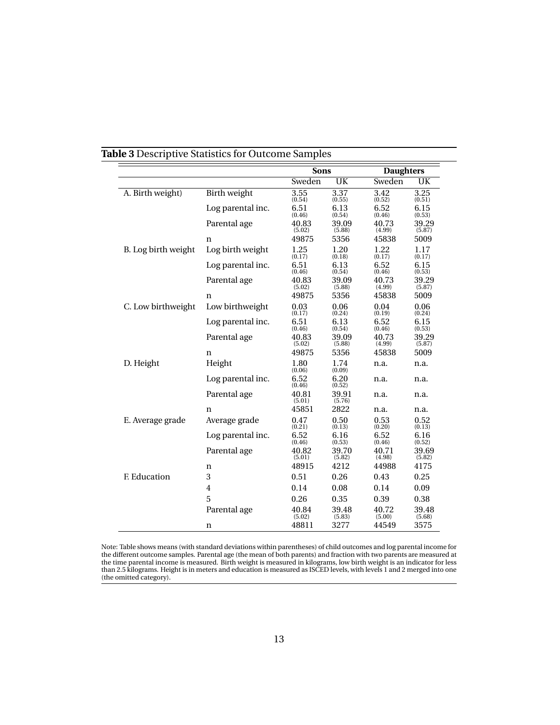|                     |                   | <b>Sons</b>     |                 | <b>Daughters</b> |                 |  |
|---------------------|-------------------|-----------------|-----------------|------------------|-----------------|--|
|                     |                   | Sweden          | UK              | Sweden           | UK              |  |
| A. Birth weight)    | Birth weight      | 3.55<br>(0.54)  | 3.37<br>(0.55)  | 3.42<br>(0.52)   | 3.25<br>(0.51)  |  |
|                     | Log parental inc. | 6.51<br>(0.46)  | 6.13<br>(0.54)  | 6.52<br>(0.46)   | 6.15<br>(0.53)  |  |
|                     | Parental age      | 40.83<br>(5.02) | 39.09<br>(5.88) | 40.73<br>(4.99)  | 39.29<br>(5.87) |  |
|                     | n                 | 49875           | 5356            | 45838            | 5009            |  |
| B. Log birth weight | Log birth weight  | 1.25<br>(0.17)  | 1.20<br>(0.18)  | 1.22<br>(0.17)   | 1.17<br>(0.17)  |  |
|                     | Log parental inc. | 6.51<br>(0.46)  | 6.13<br>(0.54)  | 6.52<br>(0.46)   | 6.15<br>(0.53)  |  |
|                     | Parental age      | 40.83<br>(5.02) | 39.09<br>(5.88) | 40.73<br>(4.99)  | 39.29<br>(5.87) |  |
|                     | n                 | 49875           | 5356            | 45838            | 5009            |  |
| C. Low birthweight  | Low birthweight   | 0.03<br>(0.17)  | 0.06<br>(0.24)  | 0.04<br>(0.19)   | 0.06<br>(0.24)  |  |
|                     | Log parental inc. | 6.51<br>(0.46)  | 6.13<br>(0.54)  | 6.52<br>(0.46)   | 6.15<br>(0.53)  |  |
|                     | Parental age      | 40.83<br>(5.02) | 39.09<br>(5.88) | 40.73<br>(4.99)  | 39.29<br>(5.87) |  |
|                     | n                 | 49875           | 5356            | 45838            | 5009            |  |
| D. Height           | Height            | 1.80<br>(0.06)  | 1.74<br>(0.09)  | n.a.             | n.a.            |  |
|                     | Log parental inc. | 6.52<br>(0.46)  | 6.20<br>(0.52)  | n.a.             | n.a.            |  |
|                     | Parental age      | 40.81<br>(5.01) | 39.91<br>(5.76) | n.a.             | n.a.            |  |
|                     | n                 | 45851           | 2822            | n.a.             | n.a.            |  |
| E. Average grade    | Average grade     | 0.47<br>(0.21)  | 0.50<br>(0.13)  | 0.53<br>(0.20)   | 0.52<br>(0.13)  |  |
|                     | Log parental inc. | 6.52<br>(0.46)  | 6.16<br>(0.53)  | 6.52<br>(0.46)   | 6.16<br>(0.52)  |  |
|                     | Parental age      | 40.82<br>(5.01) | 39.70<br>(5.82) | 40.71<br>(4.98)  | 39.69<br>(5.82) |  |
|                     | n                 | 48915           | 4212            | 44988            | 4175            |  |
| F. Education        | 3                 | 0.51            | 0.26            | 0.43             | 0.25            |  |
|                     | $\overline{4}$    | 0.14            | 0.08            | 0.14             | 0.09            |  |
|                     | 5                 | 0.26            | 0.35            | 0.39             | 0.38            |  |
|                     | Parental age      | 40.84<br>(5.02) | 39.48<br>(5.83) | 40.72<br>(5.00)  | 39.48<br>(5.68) |  |
|                     | n                 | 48811           | 3277            | 44549            | 3575            |  |

#### **Table 3** Descriptive Statistics for Outcome Samples

Note: Table shows means (with standard deviations within parentheses) of child outcomes and log parental income for the different outcome samples. Parental age (the mean of both parents) and fraction with two parents are measured at the time parental income is measured. Birth weight is measured in kilograms, low birth weight is an indicator for less than 2.5 kilograms. Height is in meters and education is measured as ISCED levels, with levels 1 and 2 merged into one (the omitted category).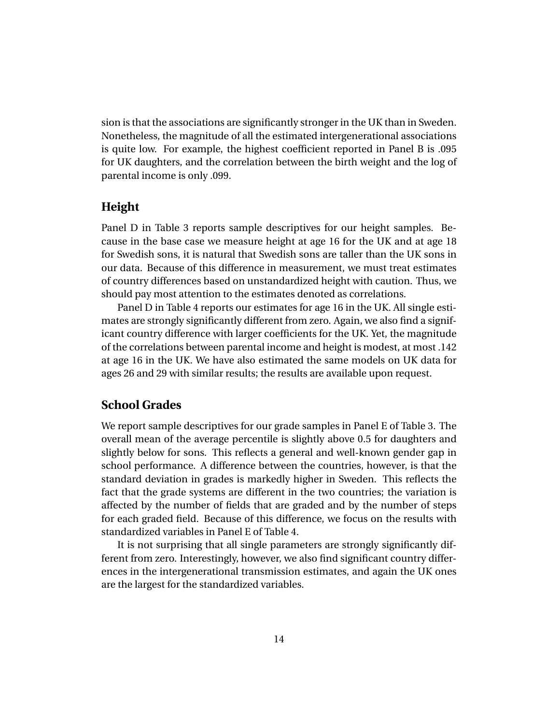sion is that the associations are significantly stronger in the UK than in Sweden. Nonetheless, the magnitude of all the estimated intergenerational associations is quite low. For example, the highest coefficient reported in Panel B is .095 for UK daughters, and the correlation between the birth weight and the log of parental income is only .099.

#### **Height**

Panel D in Table 3 reports sample descriptives for our height samples. Because in the base case we measure height at age 16 for the UK and at age 18 for Swedish sons, it is natural that Swedish sons are taller than the UK sons in our data. Because of this difference in measurement, we must treat estimates of country differences based on unstandardized height with caution. Thus, we should pay most attention to the estimates denoted as correlations.

Panel D in Table 4 reports our estimates for age 16 in the UK. All single estimates are strongly significantly different from zero. Again, we also find a significant country difference with larger coefficients for the UK. Yet, the magnitude of the correlations between parental income and height is modest, at most .142 at age 16 in the UK. We have also estimated the same models on UK data for ages 26 and 29 with similar results; the results are available upon request.

#### **School Grades**

We report sample descriptives for our grade samples in Panel E of Table 3. The overall mean of the average percentile is slightly above 0.5 for daughters and slightly below for sons. This reflects a general and well-known gender gap in school performance. A difference between the countries, however, is that the standard deviation in grades is markedly higher in Sweden. This reflects the fact that the grade systems are different in the two countries; the variation is affected by the number of fields that are graded and by the number of steps for each graded field. Because of this difference, we focus on the results with standardized variables in Panel E of Table 4.

It is not surprising that all single parameters are strongly significantly different from zero. Interestingly, however, we also find significant country differences in the intergenerational transmission estimates, and again the UK ones are the largest for the standardized variables.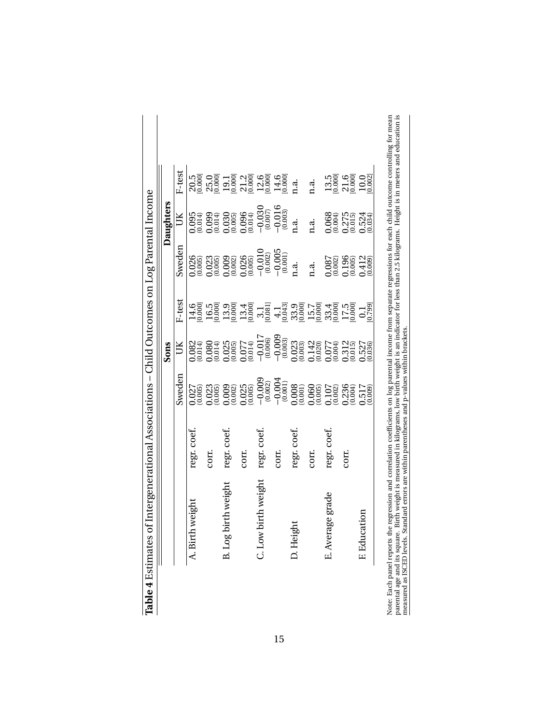|                     |             |        | Sons |        |                                                                                           | Daughters                                                                                                                                                                                                                                                                                           |                                                                                                                                                                                                                                                                                                                             |
|---------------------|-------------|--------|------|--------|-------------------------------------------------------------------------------------------|-----------------------------------------------------------------------------------------------------------------------------------------------------------------------------------------------------------------------------------------------------------------------------------------------------|-----------------------------------------------------------------------------------------------------------------------------------------------------------------------------------------------------------------------------------------------------------------------------------------------------------------------------|
|                     |             | sweden | UК   | F-test | Sweden                                                                                    | ŬК                                                                                                                                                                                                                                                                                                  | F-test                                                                                                                                                                                                                                                                                                                      |
| A. Birth weight     | regr. coef. |        |      |        |                                                                                           |                                                                                                                                                                                                                                                                                                     |                                                                                                                                                                                                                                                                                                                             |
|                     | COIT.       |        |      |        |                                                                                           |                                                                                                                                                                                                                                                                                                     |                                                                                                                                                                                                                                                                                                                             |
| B. Log birth weight | regr. coef. |        |      |        |                                                                                           |                                                                                                                                                                                                                                                                                                     |                                                                                                                                                                                                                                                                                                                             |
|                     | corr.       |        |      |        |                                                                                           | $\begin{array}{l} 0.095 \\ 0.014 \\ 0.099 \\ 0.030 \\ 0.030 \\ 0.000 \\ 0.000 \\ 0.000 \\ 0.000 \\ 0.000 \\ 0.000 \\ 0.000 \\ 0.000 \\ 0.000 \\ 0.000 \\ 0.000 \\ 0.000 \\ 0.000 \\ 0.000 \\ 0.000 \\ 0.000 \\ 0.000 \\ 0.000 \\ 0.000 \\ 0.000 \\ 0.000 \\ 0.000 \\ 0.000 \\ 0.000 \\ 0.000 \\ 0.$ | 0.000 0.000 0.000 0.000 0.000 0.000 0.000 0.000 0.000 0.000 0.000 0.000 0.000 0.000 0.000 0.000 0.00<br>0.000 0.000 0.000 0.000 0.000 0.000 0.000 0.000 0.000 0.000 0.000 0.000 0.000 0.000 0.000 0.000 0.000 0.000 0.<br>0.000 0.00                                                                                        |
| C. Low birth weight | regr. coef. |        |      |        |                                                                                           |                                                                                                                                                                                                                                                                                                     |                                                                                                                                                                                                                                                                                                                             |
|                     | com.        |        |      |        |                                                                                           |                                                                                                                                                                                                                                                                                                     |                                                                                                                                                                                                                                                                                                                             |
| D. Height           | regr. coef. |        |      |        | n.a.                                                                                      |                                                                                                                                                                                                                                                                                                     |                                                                                                                                                                                                                                                                                                                             |
|                     | COIT.       |        |      |        | n.a.                                                                                      | n.a.                                                                                                                                                                                                                                                                                                | n.a.                                                                                                                                                                                                                                                                                                                        |
| grade<br>E. Average | regr. coef. |        |      |        |                                                                                           |                                                                                                                                                                                                                                                                                                     |                                                                                                                                                                                                                                                                                                                             |
|                     | corr.       |        |      |        | $\begin{array}{l} 0.087 \\ 0.002 \\ 0.196 \\ 0.412 \\ 0.009 \\ 0.419 \\ 0.09 \end{array}$ | $0.064$<br>$0.275$<br>$0.054$<br>$0.034$<br>$0.034$<br>$0.034$                                                                                                                                                                                                                                      | $\begin{array}{l} 13.5 \\[-4pt] 13.000 \\[-4pt] 0.000 \\[-4pt] 2.10 \\[-4pt] 0.00 \\[-4pt] 0.00 \\[-4pt] 0.00 \\[-4pt] 0.00 \\[-4pt] 0.00 \\[-4pt] 0.00 \\[-4pt] 0.00 \\[-4pt] 0.00 \\[-4pt] 0.00 \\[-4pt] 0.00 \\[-4pt] 0.00 \\[-4pt] 0.00 \\[-4pt] 0.00 \\[-4pt] 0.00 \\[-4pt] 0.00 \\[-4pt] 0.00 \\[-4pt] 0.00 \\[-4pt]$ |
| F. Education        |             |        |      |        |                                                                                           |                                                                                                                                                                                                                                                                                                     |                                                                                                                                                                                                                                                                                                                             |

| utau<br>$\ddot{\phantom{a}}$<br>i<br>;<br>;<br>-<br>5<br>5<br>i<br>ì<br>しくらい<br>: | i<br>١<br>i<br>י<br>ו<br>ļ<br>$-10.10$<br>i<br>l<br>;<br>l<br>ׇ֚֘֡         | i                                                                                                                                      |  |
|-----------------------------------------------------------------------------------|----------------------------------------------------------------------------|----------------------------------------------------------------------------------------------------------------------------------------|--|
| ֧֖֧֧֚֚֚֚֚֚֚֚֚֚֚֚֚֚֚֚֚֝֝֓ <u>֓</u><br>١<br>i<br>١<br>loto: Loob nonol              | ֧ׅ֚֚֚֚֚֚֚֚֚֚֚֚֚֚֚֚֚֚֚֚֚֚֚֚֚֚֚֚֚֚֡֝֡֓֡֡֓֡֞<br>ا<br>¤<br>i<br>i<br>ì<br>$-2$ | i<br>ļ<br>I<br>i<br>$\frac{1}{2}$<br>j<br>֧֪֧֧֟֟֟֟֟֟֟֟֟֟֟֟֬֟֓֟֓֟֓֟֓֟֬֟֓֟֬֟֓֟֬֓֬֓֬֟֓֟֬֟֬֓֬֓֟֬֓֬֬֓֟֓֟֬֓֬֓֬֬֓֬֬֓֬֬֓֬֓֬֓֬֬֓֬֬֓֬֝֬֓֬֝֬<br>i |  |

15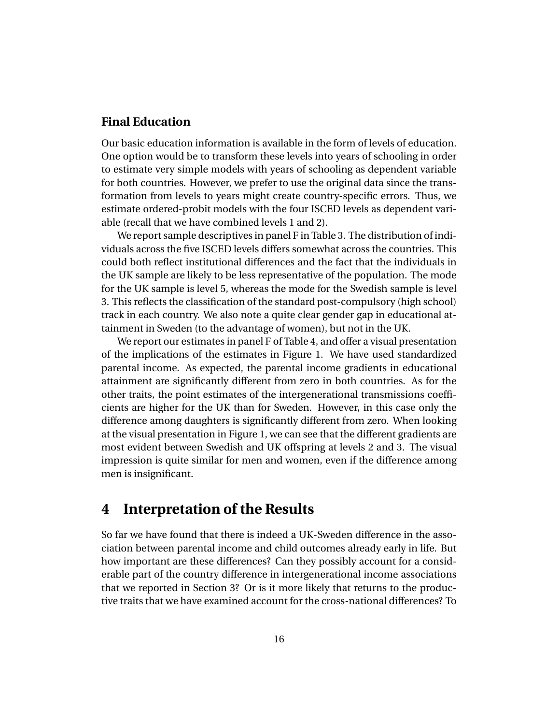#### **Final Education**

Our basic education information is available in the form of levels of education. One option would be to transform these levels into years of schooling in order to estimate very simple models with years of schooling as dependent variable for both countries. However, we prefer to use the original data since the transformation from levels to years might create country-specific errors. Thus, we estimate ordered-probit models with the four ISCED levels as dependent variable (recall that we have combined levels 1 and 2).

We report sample descriptives in panel F in Table 3. The distribution of individuals across the five ISCED levels differs somewhat across the countries. This could both reflect institutional differences and the fact that the individuals in the UK sample are likely to be less representative of the population. The mode for the UK sample is level 5, whereas the mode for the Swedish sample is level 3. This reflects the classification of the standard post-compulsory (high school) track in each country. We also note a quite clear gender gap in educational attainment in Sweden (to the advantage of women), but not in the UK.

We report our estimates in panel F of Table 4, and offer a visual presentation of the implications of the estimates in Figure 1. We have used standardized parental income. As expected, the parental income gradients in educational attainment are significantly different from zero in both countries. As for the other traits, the point estimates of the intergenerational transmissions coefficients are higher for the UK than for Sweden. However, in this case only the difference among daughters is significantly different from zero. When looking at the visual presentation in Figure 1, we can see that the different gradients are most evident between Swedish and UK offspring at levels 2 and 3. The visual impression is quite similar for men and women, even if the difference among men is insignificant.

# **4 Interpretation of the Results**

So far we have found that there is indeed a UK-Sweden difference in the association between parental income and child outcomes already early in life. But how important are these differences? Can they possibly account for a considerable part of the country difference in intergenerational income associations that we reported in Section 3? Or is it more likely that returns to the productive traits that we have examined account for the cross-national differences? To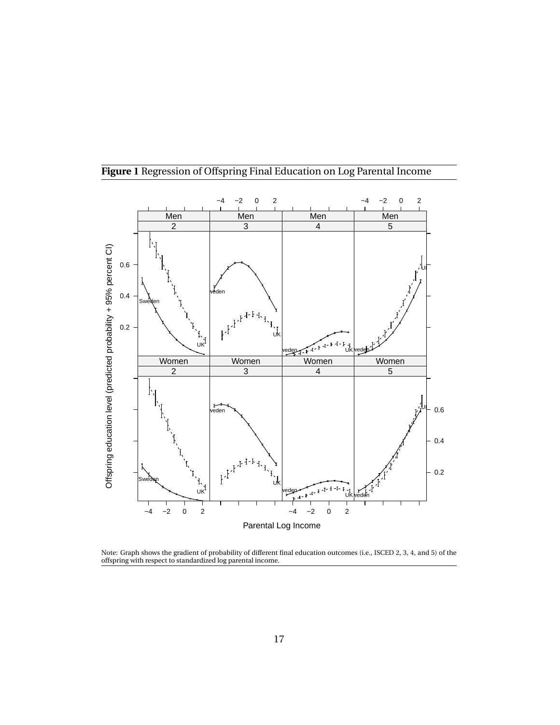

#### **Figure 1** Regression of Offspring Final Education on Log Parental Income

Note: Graph shows the gradient of probability of different final education outcomes (i.e., ISCED 2, 3, 4, and 5) of the offspring with respect to standardized log parental income.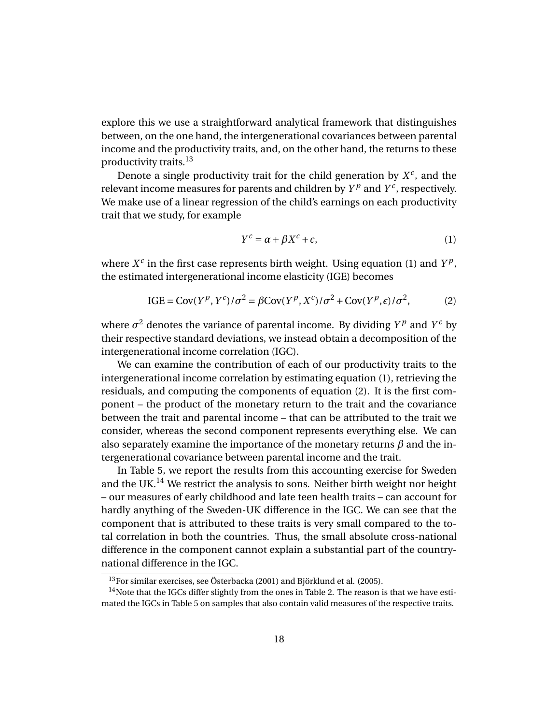explore this we use a straightforward analytical framework that distinguishes between, on the one hand, the intergenerational covariances between parental income and the productivity traits, and, on the other hand, the returns to these productivity traits.<sup>13</sup>

Denote a single productivity trait for the child generation by  $X^c$ , and the relevant income measures for parents and children by  $Y^p$  and  $Y^c$ , respectively. We make use of a linear regression of the child's earnings on each productivity trait that we study, for example

$$
Y^c = \alpha + \beta X^c + \epsilon,\tag{1}
$$

where  $X^c$  in the first case represents birth weight. Using equation (1) and  $Y^p$ , the estimated intergenerational income elasticity (IGE) becomes

IGE = Cov
$$
(Y^p, Y^c)/\sigma^2 = \beta
$$
Cov $(Y^p, X^c)/\sigma^2$  + Cov $(Y^p, \epsilon)/\sigma^2$ , (2)

where  $\sigma^2$  denotes the variance of parental income. By dividing  $Y^p$  and  $Y^c$  by their respective standard deviations, we instead obtain a decomposition of the intergenerational income correlation (IGC).

We can examine the contribution of each of our productivity traits to the intergenerational income correlation by estimating equation (1), retrieving the residuals, and computing the components of equation (2). It is the first component – the product of the monetary return to the trait and the covariance between the trait and parental income – that can be attributed to the trait we consider, whereas the second component represents everything else. We can also separately examine the importance of the monetary returns *β* and the intergenerational covariance between parental income and the trait.

In Table 5, we report the results from this accounting exercise for Sweden and the UK.<sup>14</sup> We restrict the analysis to sons. Neither birth weight nor height – our measures of early childhood and late teen health traits – can account for hardly anything of the Sweden-UK difference in the IGC. We can see that the component that is attributed to these traits is very small compared to the total correlation in both the countries. Thus, the small absolute cross-national difference in the component cannot explain a substantial part of the countrynational difference in the IGC.

<sup>&</sup>lt;sup>13</sup>For similar exercises, see Österbacka (2001) and Björklund et al. (2005).

 $14$ Note that the IGCs differ slightly from the ones in Table 2. The reason is that we have estimated the IGCs in Table 5 on samples that also contain valid measures of the respective traits.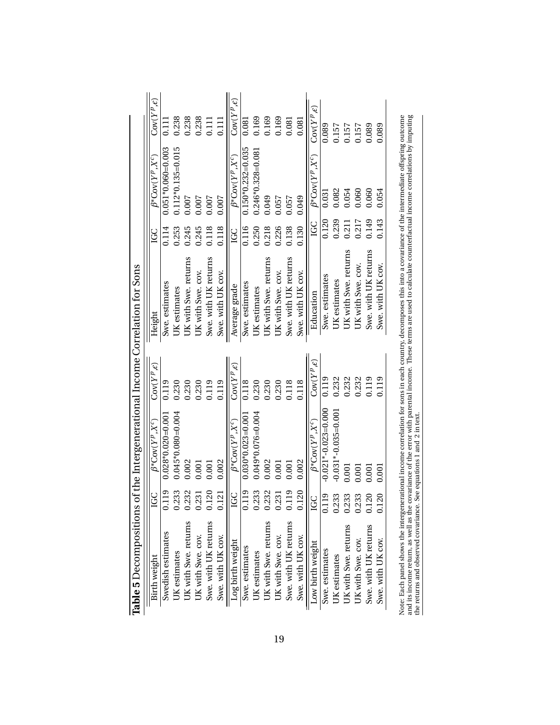| Table 5 Decompositions of the Intergenerational Income Correlation for Sons |                |                             |                             |                      |       |                            |                             |
|-----------------------------------------------------------------------------|----------------|-----------------------------|-----------------------------|----------------------|-------|----------------------------|-----------------------------|
| Birth weight                                                                | GC             | $\beta^*$ Cov $(Y^p, X^c)$  | $\text{Cov}(Y^p, \epsilon)$ | Height               | LGC   | $\beta^*$ Cov $(Y^p, X^c)$ | $\text{Cov}(Y^p, \epsilon)$ |
| Swedish estimates                                                           | 0.119          | $0.028*0.020=0.001$         | 0.119                       | Swe. estimates       | 0.114 | $0.051*0.060=0.003$        | $\Xi$                       |
| UK estimates                                                                | 1.233          | $0.045*0.080=0.004$         | 0.230                       | UK estimates         | 0.253 | $0.112*0.135=0.015$        | 0.238                       |
| <b>JK</b> with Swe. returns                                                 | 0.232          | 0.002                       | 0.230                       | UK with Swe. returns | 0.245 | 0.007                      | 0.238                       |
| UK with Swe. cov.                                                           | 0.231          | 0.001                       | 0.230                       | UK with Swe. cov.    | 0.245 | 0.007                      | 0.238                       |
| Swe. with UK returns                                                        | 0.120          | 0.001                       | 0.119                       | Swe. with UK returns | 0.118 | 0.007                      | 0.111                       |
| Swe. with UK cov.                                                           | 0.121          | 0.002                       | 0.119                       | Swe. with UK cov.    | 0.118 | 0.007                      | 0.111                       |
| Log birth weight                                                            | <b>GC</b>      | $\beta^*{\rm Cov}(Y^p,X^c)$ | $\text{Cov}(Y^p, \epsilon)$ | Average grade        | LGC   | $\beta^*$ Cov $(Y^p, X^c)$ | $\text{Cov}(Y^p, \epsilon)$ |
| Swe. estimates                                                              | 0.119          | $0.030*0.023=0.001$         | 0.118                       | Swe. estimates       | 0.116 | $0.150*0.232=0.035$        | 0.081                       |
| <b>IK</b> estimates                                                         | 0.233          | $0.049*0.076=0.004$         | 0.230                       | UK estimates         | 0.250 | $0.246*0.328=0.081$        | 0.169                       |
| UK with Swe. returns                                                        | 0.232          | 0.002                       | 0.230                       | UK with Swe. returns | 0.218 | 0.049                      | 0.169                       |
| UK with Swe. cov.                                                           | 0.231          | 0.001                       | 0.230                       | UK with Swe. cov.    | 0.226 | 0.057                      | 0.169                       |
| Swe. with UK returns                                                        | 0.119          | 0.001                       | 0.118                       | Swe. with UK returns | 0.138 | 0.057                      | 0.081                       |
| Swe. with UK cov.                                                           | 0.120          | 0.002                       | 0.118                       | Swe. with UK cov.    | 0.130 | 0.049                      | 0.081                       |
| Low birth weight                                                            | Ř              | $\beta^*$ Cov $(Y^p, X^c)$  | $\text{Cov}(Y^p, \epsilon)$ | Education            | LGC   | $\beta^*$ Cov $(Y^p, X^c)$ | $\text{Cov}(Y^p, \epsilon)$ |
| Swe. estimates                                                              | 0.119          | $-0.021*-0.023=0.000$       | 0.119                       | Swe. estimates       | 0.120 | 0.031                      | 0.089                       |
| <b>JK</b> estimates                                                         | 0.233          | $-0.031*-0.035=0.001$       | 0.232                       | UK estimates         | 0.239 | 0.082                      | 0.157                       |
| UK with Swe. returns                                                        | 0.233          | 0.001                       | 0.232                       | UK with Swe. returns | 0.211 | 0.054                      | 0.157                       |
| UK with Swe. cov.                                                           | 0.233          | 0.001                       | 0.232                       | UK with Swe. cov.    | 0.217 | 0.060                      | 0.157                       |
| Swe. with UK returns                                                        | 20             | 0.001                       | 0.119                       | Swe. with UK returns | 0.149 | 0.060                      | 0.089                       |
| Swe. with UK cov.                                                           | $\overline{c}$ | 0.001                       | 0.119                       | Swe. with UK cov.    | 0.143 | 0.054                      | 0.089                       |
|                                                                             |                |                             |                             |                      |       |                            |                             |

Note: Each panel shows the intergenerational income correlation for sons in each country, decomposes this into a covariance of the intermediate offspring outcome<br>and its income return, as well as the covariance of the erro Note: Each panel shows the intergenerational income correlation for sons in each country, decomposes this into a covariance of the intermediate offspring outcome and its income return, as well as the covariance of the error with parental income. These terms are used to calculate counterfactual income correlations by imputing the returns and observed covariance. See equations 1 and 2 in text.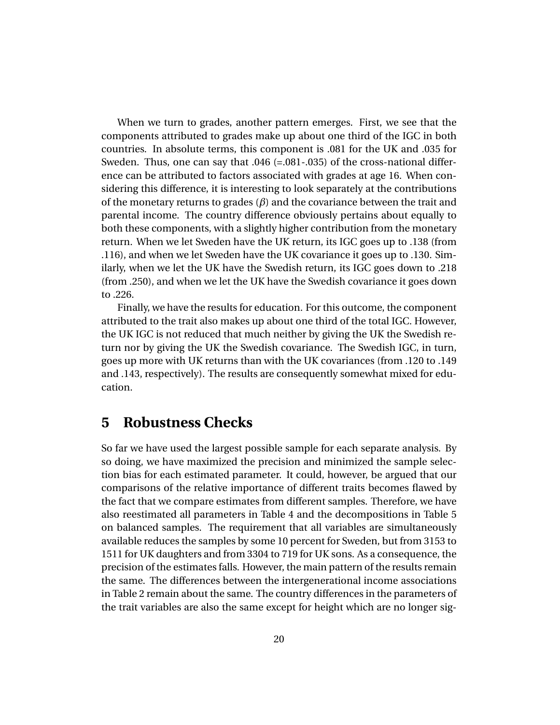When we turn to grades, another pattern emerges. First, we see that the components attributed to grades make up about one third of the IGC in both countries. In absolute terms, this component is .081 for the UK and .035 for Sweden. Thus, one can say that .046 (=.081-.035) of the cross-national difference can be attributed to factors associated with grades at age 16. When considering this difference, it is interesting to look separately at the contributions of the monetary returns to grades (*β*) and the covariance between the trait and parental income. The country difference obviously pertains about equally to both these components, with a slightly higher contribution from the monetary return. When we let Sweden have the UK return, its IGC goes up to .138 (from .116), and when we let Sweden have the UK covariance it goes up to .130. Similarly, when we let the UK have the Swedish return, its IGC goes down to .218 (from .250), and when we let the UK have the Swedish covariance it goes down to .226.

Finally, we have the results for education. For this outcome, the component attributed to the trait also makes up about one third of the total IGC. However, the UK IGC is not reduced that much neither by giving the UK the Swedish return nor by giving the UK the Swedish covariance. The Swedish IGC, in turn, goes up more with UK returns than with the UK covariances (from .120 to .149 and .143, respectively). The results are consequently somewhat mixed for education.

### **5 Robustness Checks**

So far we have used the largest possible sample for each separate analysis. By so doing, we have maximized the precision and minimized the sample selection bias for each estimated parameter. It could, however, be argued that our comparisons of the relative importance of different traits becomes flawed by the fact that we compare estimates from different samples. Therefore, we have also reestimated all parameters in Table 4 and the decompositions in Table 5 on balanced samples. The requirement that all variables are simultaneously available reduces the samples by some 10 percent for Sweden, but from 3153 to 1511 for UK daughters and from 3304 to 719 for UK sons. As a consequence, the precision of the estimates falls. However, the main pattern of the results remain the same. The differences between the intergenerational income associations in Table 2 remain about the same. The country differences in the parameters of the trait variables are also the same except for height which are no longer sig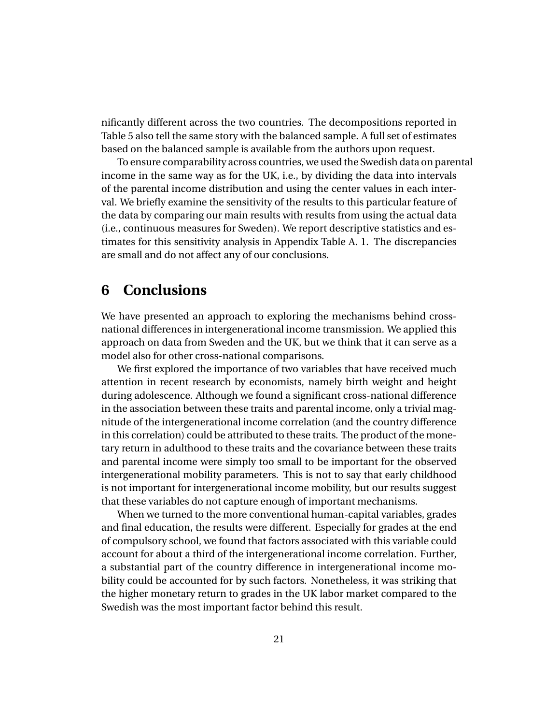nificantly different across the two countries. The decompositions reported in Table 5 also tell the same story with the balanced sample. A full set of estimates based on the balanced sample is available from the authors upon request.

To ensure comparability across countries, we used the Swedish data on parental income in the same way as for the UK, i.e., by dividing the data into intervals of the parental income distribution and using the center values in each interval. We briefly examine the sensitivity of the results to this particular feature of the data by comparing our main results with results from using the actual data (i.e., continuous measures for Sweden). We report descriptive statistics and estimates for this sensitivity analysis in Appendix Table A. 1. The discrepancies are small and do not affect any of our conclusions.

# **6 Conclusions**

We have presented an approach to exploring the mechanisms behind crossnational differences in intergenerational income transmission. We applied this approach on data from Sweden and the UK, but we think that it can serve as a model also for other cross-national comparisons.

We first explored the importance of two variables that have received much attention in recent research by economists, namely birth weight and height during adolescence. Although we found a significant cross-national difference in the association between these traits and parental income, only a trivial magnitude of the intergenerational income correlation (and the country difference in this correlation) could be attributed to these traits. The product of the monetary return in adulthood to these traits and the covariance between these traits and parental income were simply too small to be important for the observed intergenerational mobility parameters. This is not to say that early childhood is not important for intergenerational income mobility, but our results suggest that these variables do not capture enough of important mechanisms.

When we turned to the more conventional human-capital variables, grades and final education, the results were different. Especially for grades at the end of compulsory school, we found that factors associated with this variable could account for about a third of the intergenerational income correlation. Further, a substantial part of the country difference in intergenerational income mobility could be accounted for by such factors. Nonetheless, it was striking that the higher monetary return to grades in the UK labor market compared to the Swedish was the most important factor behind this result.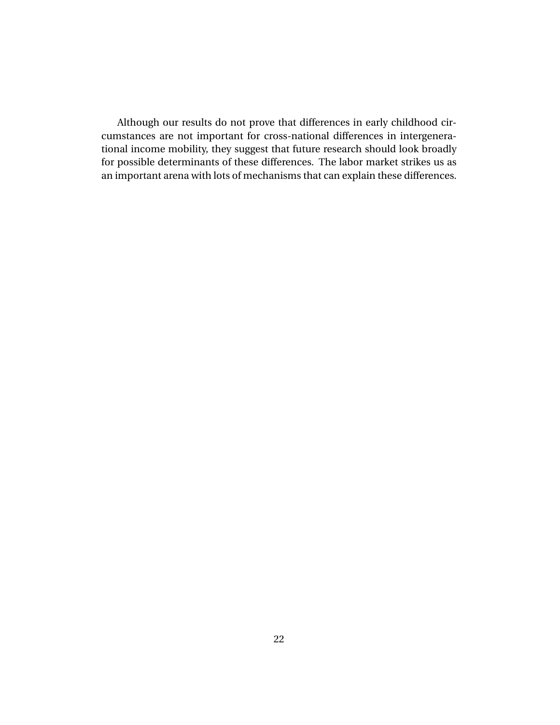Although our results do not prove that differences in early childhood circumstances are not important for cross-national differences in intergenerational income mobility, they suggest that future research should look broadly for possible determinants of these differences. The labor market strikes us as an important arena with lots of mechanisms that can explain these differences.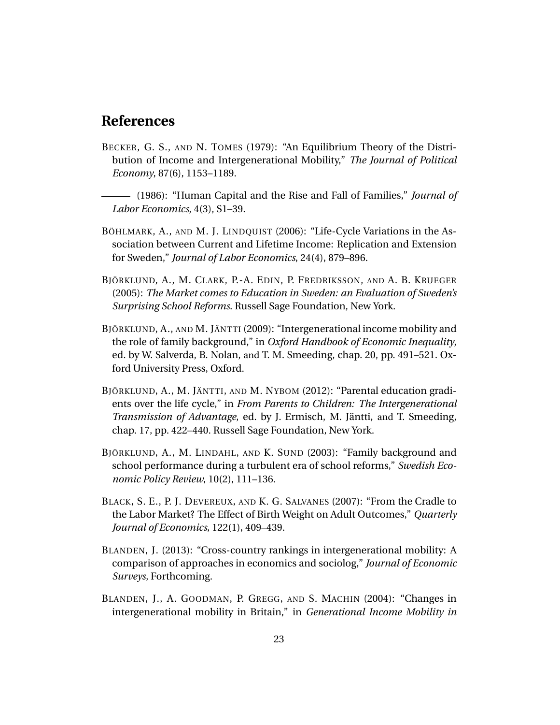## **References**

- BECKER, G. S., AND N. TOMES (1979): "An Equilibrium Theory of the Distribution of Income and Intergenerational Mobility," *The Journal of Political Economy*, 87(6), 1153–1189.
- (1986): "Human Capital and the Rise and Fall of Families," *Journal of Labor Economics*, 4(3), S1–39.
- BÖHLMARK, A., AND M. J. LINDQUIST (2006): "Life-Cycle Variations in the Association between Current and Lifetime Income: Replication and Extension for Sweden," *Journal of Labor Economics*, 24(4), 879–896.
- BJÖRKLUND, A., M. CLARK, P.-A. EDIN, P. FREDRIKSSON, AND A. B. KRUEGER (2005): *The Market comes to Education in Sweden: an Evaluation of Sweden's Surprising School Reforms*. Russell Sage Foundation, New York.
- BJÖRKLUND, A., AND M. JÄNTTI (2009): "Intergenerational income mobility and the role of family background," in *Oxford Handbook of Economic Inequality*, ed. by W. Salverda, B. Nolan, and T. M. Smeeding, chap. 20, pp. 491–521. Oxford University Press, Oxford.
- BJÖRKLUND, A., M. JÄNTTI, AND M. NYBOM (2012): "Parental education gradients over the life cycle," in *From Parents to Children: The Intergenerational Transmission of Advantage*, ed. by J. Ermisch, M. Jäntti, and T. Smeeding, chap. 17, pp. 422–440. Russell Sage Foundation, New York.
- BJÖRKLUND, A., M. LINDAHL, AND K. SUND (2003): "Family background and school performance during a turbulent era of school reforms," *Swedish Economic Policy Review*, 10(2), 111–136.
- BLACK, S. E., P. J. DEVEREUX, AND K. G. SALVANES (2007): "From the Cradle to the Labor Market? The Effect of Birth Weight on Adult Outcomes," *Quarterly Journal of Economics*, 122(1), 409–439.
- BLANDEN, J. (2013): "Cross-country rankings in intergenerational mobility: A comparison of approaches in economics and sociolog," *Journal of Economic Surveys*, Forthcoming.
- BLANDEN, J., A. GOODMAN, P. GREGG, AND S. MACHIN (2004): "Changes in intergenerational mobility in Britain," in *Generational Income Mobility in*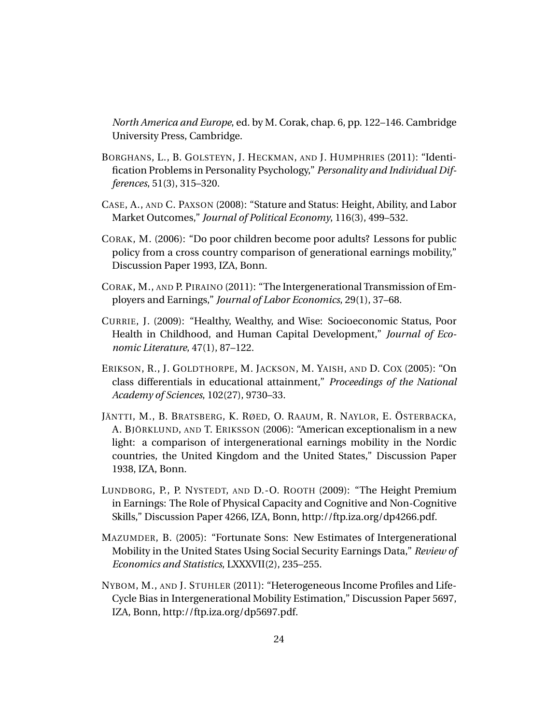*North America and Europe*, ed. by M. Corak, chap. 6, pp. 122–146. Cambridge University Press, Cambridge.

- BORGHANS, L., B. GOLSTEYN, J. HECKMAN, AND J. HUMPHRIES (2011): "Identification Problems in Personality Psychology," *Personality and Individual Differences*, 51(3), 315–320.
- CASE, A., AND C. PAXSON (2008): "Stature and Status: Height, Ability, and Labor Market Outcomes," *Journal of Political Economy*, 116(3), 499–532.
- CORAK, M. (2006): "Do poor children become poor adults? Lessons for public policy from a cross country comparison of generational earnings mobility," Discussion Paper 1993, IZA, Bonn.
- CORAK, M., AND P. PIRAINO (2011): "The Intergenerational Transmission of Employers and Earnings," *Journal of Labor Economics*, 29(1), 37–68.
- CURRIE, J. (2009): "Healthy, Wealthy, and Wise: Socioeconomic Status, Poor Health in Childhood, and Human Capital Development," *Journal of Economic Literature*, 47(1), 87–122.
- ERIKSON, R., J. GOLDTHORPE, M. JACKSON, M. YAISH, AND D. COX (2005): "On class differentials in educational attainment," *Proceedings of the National Academy of Sciences*, 102(27), 9730–33.
- JÄNTTI, M., B. BRATSBERG, K. RØED, O. RAAUM, R. NAYLOR, E. ÖSTERBACKA, A. BJÖRKLUND, AND T. ERIKSSON (2006): "American exceptionalism in a new light: a comparison of intergenerational earnings mobility in the Nordic countries, the United Kingdom and the United States," Discussion Paper 1938, IZA, Bonn.
- LUNDBORG, P., P. NYSTEDT, AND D.-O. ROOTH (2009): "The Height Premium in Earnings: The Role of Physical Capacity and Cognitive and Non-Cognitive Skills," Discussion Paper 4266, IZA, Bonn, http://ftp.iza.org/dp4266.pdf.
- MAZUMDER, B. (2005): "Fortunate Sons: New Estimates of Intergenerational Mobility in the United States Using Social Security Earnings Data," *Review of Economics and Statistics*, LXXXVII(2), 235–255.
- NYBOM, M., AND J. STUHLER (2011): "Heterogeneous Income Profiles and Life-Cycle Bias in Intergenerational Mobility Estimation," Discussion Paper 5697, IZA, Bonn, http://ftp.iza.org/dp5697.pdf.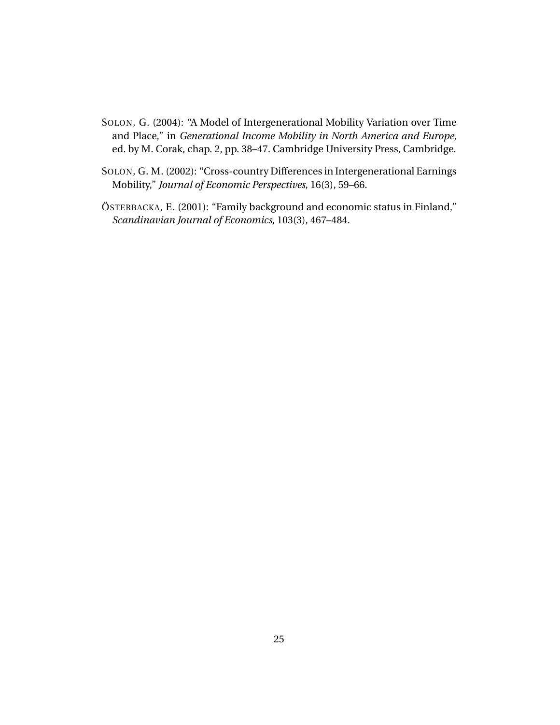- SOLON, G. (2004): "A Model of Intergenerational Mobility Variation over Time and Place," in *Generational Income Mobility in North America and Europe*, ed. by M. Corak, chap. 2, pp. 38–47. Cambridge University Press, Cambridge.
- SOLON, G. M. (2002): "Cross-country Differences in Intergenerational Earnings Mobility," *Journal of Economic Perspectives*, 16(3), 59–66.
- ÖSTERBACKA, E. (2001): "Family background and economic status in Finland," *Scandinavian Journal of Economics*, 103(3), 467–484.